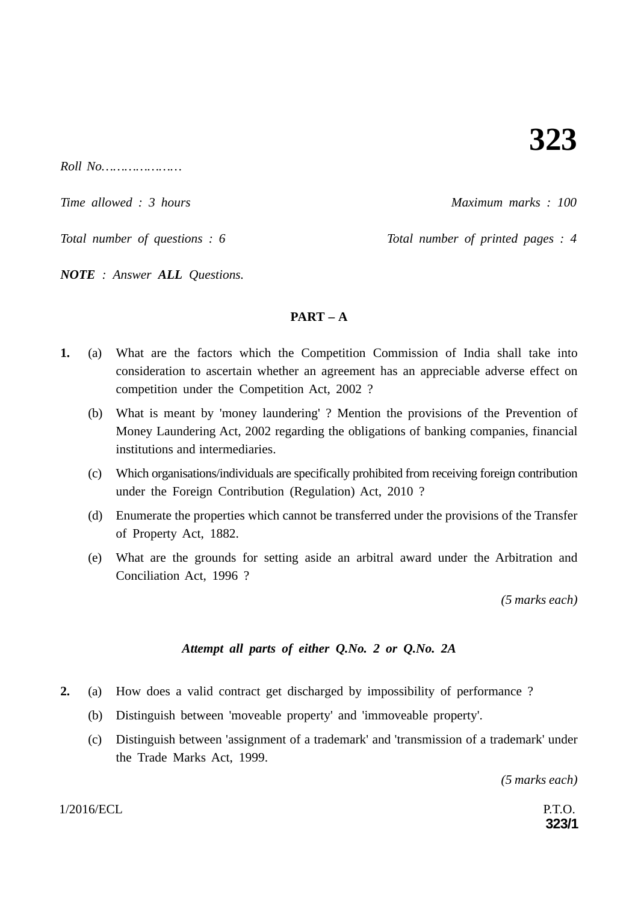*Roll No…………………*

*Time allowed : 3 hours Maximum marks : 100*

*Total number of questions : 6* Total number of printed pages : 4

*NOTE : Answer ALL Questions.*

# **PART – A**

- **1.** (a) What are the factors which the Competition Commission of India shall take into consideration to ascertain whether an agreement has an appreciable adverse effect on competition under the Competition Act, 2002 ?
	- (b) What is meant by 'money laundering' ? Mention the provisions of the Prevention of Money Laundering Act, 2002 regarding the obligations of banking companies, financial institutions and intermediaries.
	- (c) Which organisations/individuals are specifically prohibited from receiving foreign contribution under the Foreign Contribution (Regulation) Act, 2010 ?
	- (d) Enumerate the properties which cannot be transferred under the provisions of the Transfer of Property Act, 1882.
	- (e) What are the grounds for setting aside an arbitral award under the Arbitration and Conciliation Act, 1996 ?

*(5 marks each)*

# *Attempt all parts of either Q.No. 2 or Q.No. 2A*

- **2.** (a) How does a valid contract get discharged by impossibility of performance ?
	- (b) Distinguish between 'moveable property' and 'immoveable property'.
	- (c) Distinguish between 'assignment of a trademark' and 'transmission of a trademark' under the Trade Marks Act, 1999.

*(5 marks each)*

 $1/2016/\text{ECL}$  P.T.O.

**323/1**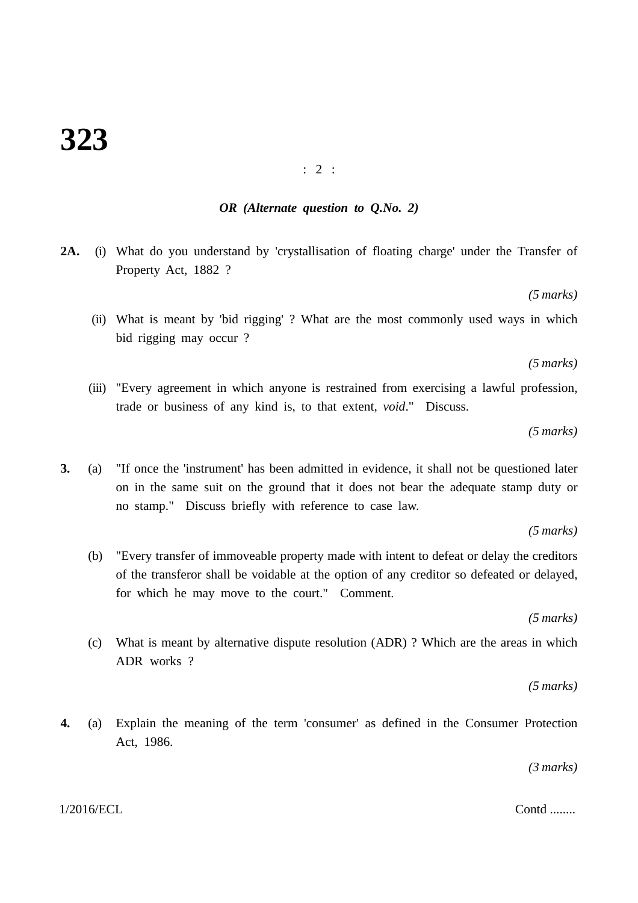#### : 2 :

## *OR (Alternate question to Q.No. 2)*

**2A.** (i) What do you understand by 'crystallisation of floating charge' under the Transfer of Property Act, 1882 ?

*(5 marks)*

(ii) What is meant by 'bid rigging' ? What are the most commonly used ways in which bid rigging may occur ?

*(5 marks)*

(iii) "Every agreement in which anyone is restrained from exercising a lawful profession, trade or business of any kind is, to that extent, *void*." Discuss.

*(5 marks)*

**3.** (a) "If once the 'instrument' has been admitted in evidence, it shall not be questioned later on in the same suit on the ground that it does not bear the adequate stamp duty or no stamp." Discuss briefly with reference to case law.

*(5 marks)*

(b) "Every transfer of immoveable property made with intent to defeat or delay the creditors of the transferor shall be voidable at the option of any creditor so defeated or delayed, for which he may move to the court." Comment.

*(5 marks)*

(c) What is meant by alternative dispute resolution (ADR) ? Which are the areas in which ADR works ?

*(5 marks)*

**4.** (a) Explain the meaning of the term 'consumer' as defined in the Consumer Protection Act, 1986.

*(3 marks)*

#### $1/2016/ECL$  Contd ........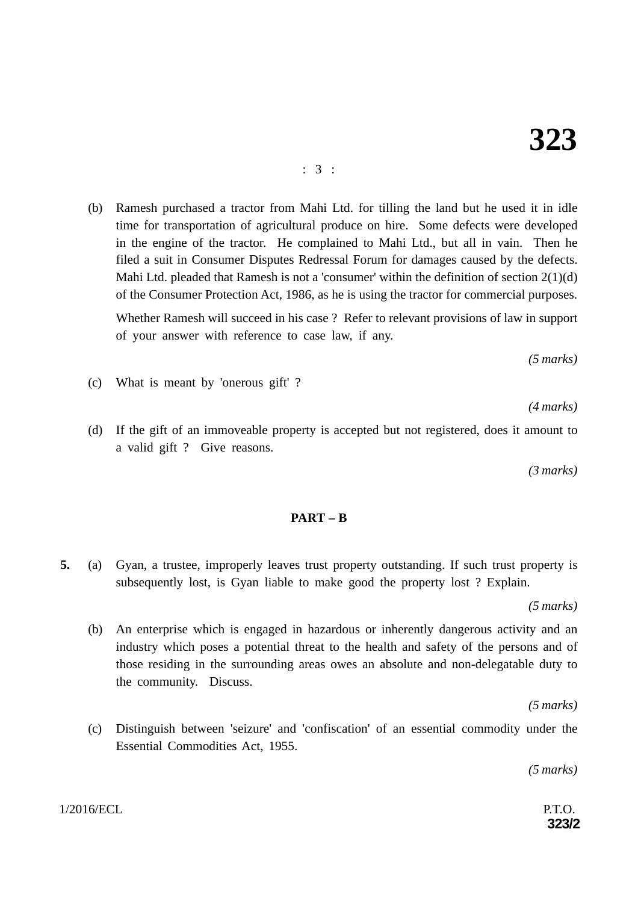#### : 3 :

(b) Ramesh purchased a tractor from Mahi Ltd. for tilling the land but he used it in idle time for transportation of agricultural produce on hire. Some defects were developed in the engine of the tractor. He complained to Mahi Ltd., but all in vain. Then he filed a suit in Consumer Disputes Redressal Forum for damages caused by the defects. Mahi Ltd. pleaded that Ramesh is not a 'consumer' within the definition of section 2(1)(d) of the Consumer Protection Act, 1986, as he is using the tractor for commercial purposes.

Whether Ramesh will succeed in his case ? Refer to relevant provisions of law in support of your answer with reference to case law, if any.

*(5 marks)*

(c) What is meant by 'onerous gift' ?

*(4 marks)*

(d) If the gift of an immoveable property is accepted but not registered, does it amount to a valid gift ? Give reasons.

*(3 marks)*

## **PART – B**

**5.** (a) Gyan, a trustee, improperly leaves trust property outstanding. If such trust property is subsequently lost, is Gyan liable to make good the property lost ? Explain.

*(5 marks)*

(b) An enterprise which is engaged in hazardous or inherently dangerous activity and an industry which poses a potential threat to the health and safety of the persons and of those residing in the surrounding areas owes an absolute and non-delegatable duty to the community. Discuss.

*(5 marks)*

(c) Distinguish between 'seizure' and 'confiscation' of an essential commodity under the Essential Commodities Act, 1955.

*(5 marks)*

**323/2**

 $1/2016/ECL$  P.T.O.